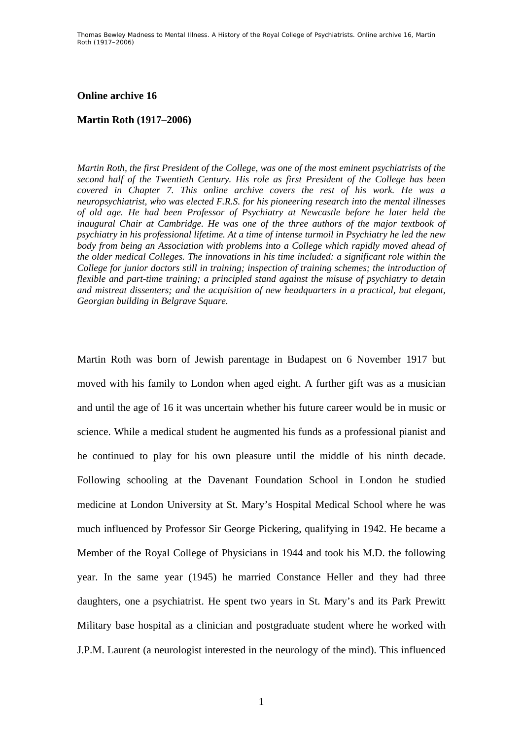## **Online archive 16**

## **Martin Roth (1917–2006)**

*Martin Roth, the first President of the College, was one of the most eminent psychiatrists of the second half of the Twentieth Century. His role as first President of the College has been covered in Chapter 7. This online archive covers the rest of his work. He was a neuropsychiatrist, who was elected F.R.S. for his pioneering research into the mental illnesses of old age. He had been Professor of Psychiatry at Newcastle before he later held the inaugural Chair at Cambridge. He was one of the three authors of the major textbook of psychiatry in his professional lifetime. At a time of intense turmoil in Psychiatry he led the new body from being an Association with problems into a College which rapidly moved ahead of the older medical Colleges. The innovations in his time included: a significant role within the College for junior doctors still in training; inspection of training schemes; the introduction of flexible and part-time training; a principled stand against the misuse of psychiatry to detain and mistreat dissenters; and the acquisition of new headquarters in a practical, but elegant, Georgian building in Belgrave Square.* 

Martin Roth was born of Jewish parentage in Budapest on 6 November 1917 but moved with his family to London when aged eight. A further gift was as a musician and until the age of 16 it was uncertain whether his future career would be in music or science. While a medical student he augmented his funds as a professional pianist and he continued to play for his own pleasure until the middle of his ninth decade. Following schooling at the Davenant Foundation School in London he studied medicine at London University at St. Mary's Hospital Medical School where he was much influenced by Professor Sir George Pickering, qualifying in 1942. He became a Member of the Royal College of Physicians in 1944 and took his M.D. the following year. In the same year (1945) he married Constance Heller and they had three daughters, one a psychiatrist. He spent two years in St. Mary's and its Park Prewitt Military base hospital as a clinician and postgraduate student where he worked with J.P.M. Laurent (a neurologist interested in the neurology of the mind). This influenced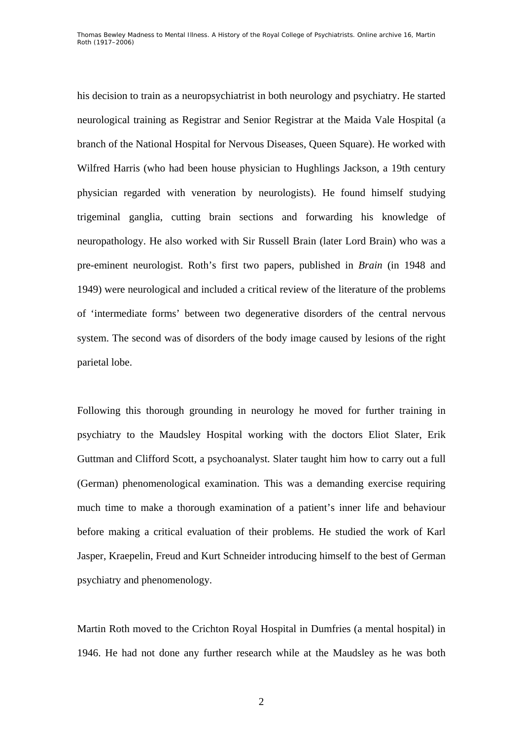his decision to train as a neuropsychiatrist in both neurology and psychiatry. He started neurological training as Registrar and Senior Registrar at the Maida Vale Hospital (a branch of the National Hospital for Nervous Diseases, Queen Square). He worked with Wilfred Harris (who had been house physician to Hughlings Jackson, a 19th century physician regarded with veneration by neurologists). He found himself studying trigeminal ganglia, cutting brain sections and forwarding his knowledge of neuropathology. He also worked with Sir Russell Brain (later Lord Brain) who was a pre-eminent neurologist. Roth's first two papers, published in *Brain* (in 1948 and 1949) were neurological and included a critical review of the literature of the problems of 'intermediate forms' between two degenerative disorders of the central nervous system. The second was of disorders of the body image caused by lesions of the right parietal lobe.

Following this thorough grounding in neurology he moved for further training in psychiatry to the Maudsley Hospital working with the doctors Eliot Slater, Erik Guttman and Clifford Scott, a psychoanalyst. Slater taught him how to carry out a full (German) phenomenological examination. This was a demanding exercise requiring much time to make a thorough examination of a patient's inner life and behaviour before making a critical evaluation of their problems. He studied the work of Karl Jasper, Kraepelin, Freud and Kurt Schneider introducing himself to the best of German psychiatry and phenomenology.

Martin Roth moved to the Crichton Royal Hospital in Dumfries (a mental hospital) in 1946. He had not done any further research while at the Maudsley as he was both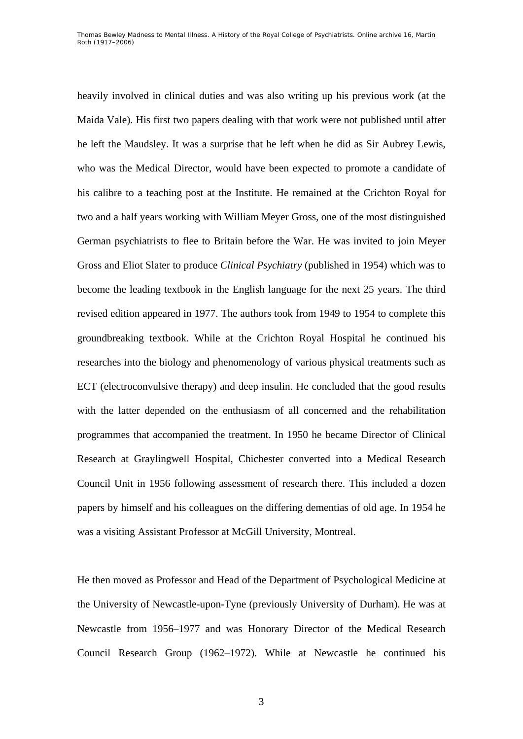heavily involved in clinical duties and was also writing up his previous work (at the Maida Vale). His first two papers dealing with that work were not published until after he left the Maudsley. It was a surprise that he left when he did as Sir Aubrey Lewis, who was the Medical Director, would have been expected to promote a candidate of his calibre to a teaching post at the Institute. He remained at the Crichton Royal for two and a half years working with William Meyer Gross, one of the most distinguished German psychiatrists to flee to Britain before the War. He was invited to join Meyer Gross and Eliot Slater to produce *Clinical Psychiatry* (published in 1954) which was to become the leading textbook in the English language for the next 25 years. The third revised edition appeared in 1977. The authors took from 1949 to 1954 to complete this groundbreaking textbook. While at the Crichton Royal Hospital he continued his researches into the biology and phenomenology of various physical treatments such as ECT (electroconvulsive therapy) and deep insulin. He concluded that the good results with the latter depended on the enthusiasm of all concerned and the rehabilitation programmes that accompanied the treatment. In 1950 he became Director of Clinical Research at Graylingwell Hospital, Chichester converted into a Medical Research Council Unit in 1956 following assessment of research there. This included a dozen papers by himself and his colleagues on the differing dementias of old age. In 1954 he was a visiting Assistant Professor at McGill University, Montreal.

He then moved as Professor and Head of the Department of Psychological Medicine at the University of Newcastle-upon-Tyne (previously University of Durham). He was at Newcastle from 1956–1977 and was Honorary Director of the Medical Research Council Research Group (1962–1972). While at Newcastle he continued his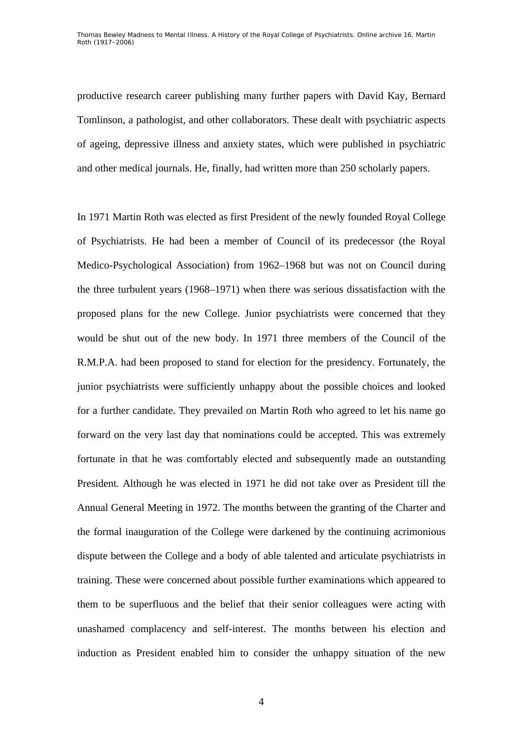productive research career publishing many further papers with David Kay, Bernard Tomlinson, a pathologist, and other collaborators. These dealt with psychiatric aspects of ageing, depressive illness and anxiety states, which were published in psychiatric and other medical journals. He, finally, had written more than 250 scholarly papers.

In 1971 Martin Roth was elected as first President of the newly founded Royal College of Psychiatrists. He had been a member of Council of its predecessor (the Royal Medico-Psychological Association) from 1962–1968 but was not on Council during the three turbulent years (1968–1971) when there was serious dissatisfaction with the proposed plans for the new College. Junior psychiatrists were concerned that they would be shut out of the new body. In 1971 three members of the Council of the R.M.P.A. had been proposed to stand for election for the presidency. Fortunately, the junior psychiatrists were sufficiently unhappy about the possible choices and looked for a further candidate. They prevailed on Martin Roth who agreed to let his name go forward on the very last day that nominations could be accepted. This was extremely fortunate in that he was comfortably elected and subsequently made an outstanding President. Although he was elected in 1971 he did not take over as President till the Annual General Meeting in 1972. The months between the granting of the Charter and the formal inauguration of the College were darkened by the continuing acrimonious dispute between the College and a body of able talented and articulate psychiatrists in training. These were concerned about possible further examinations which appeared to them to be superfluous and the belief that their senior colleagues were acting with unashamed complacency and self-interest. The months between his election and induction as President enabled him to consider the unhappy situation of the new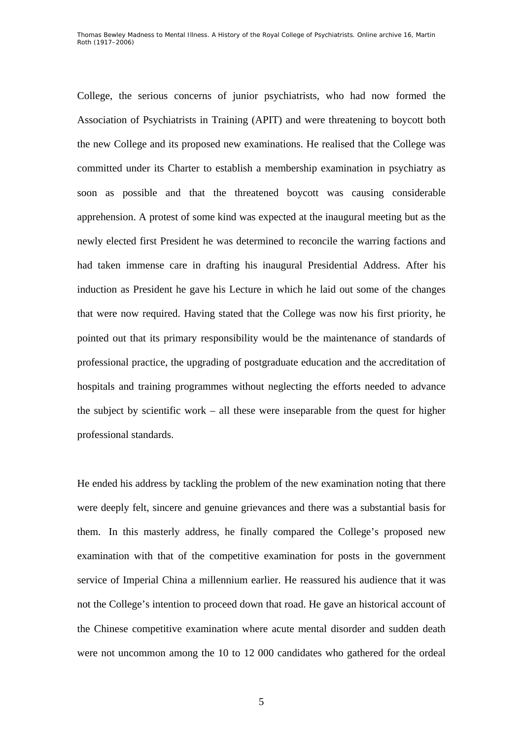College, the serious concerns of junior psychiatrists, who had now formed the Association of Psychiatrists in Training (APIT) and were threatening to boycott both the new College and its proposed new examinations. He realised that the College was committed under its Charter to establish a membership examination in psychiatry as soon as possible and that the threatened boycott was causing considerable apprehension. A protest of some kind was expected at the inaugural meeting but as the newly elected first President he was determined to reconcile the warring factions and had taken immense care in drafting his inaugural Presidential Address. After his induction as President he gave his Lecture in which he laid out some of the changes that were now required. Having stated that the College was now his first priority, he pointed out that its primary responsibility would be the maintenance of standards of professional practice, the upgrading of postgraduate education and the accreditation of hospitals and training programmes without neglecting the efforts needed to advance the subject by scientific work – all these were inseparable from the quest for higher professional standards.

He ended his address by tackling the problem of the new examination noting that there were deeply felt, sincere and genuine grievances and there was a substantial basis for them. In this masterly address, he finally compared the College's proposed new examination with that of the competitive examination for posts in the government service of Imperial China a millennium earlier. He reassured his audience that it was not the College's intention to proceed down that road. He gave an historical account of the Chinese competitive examination where acute mental disorder and sudden death were not uncommon among the 10 to 12 000 candidates who gathered for the ordeal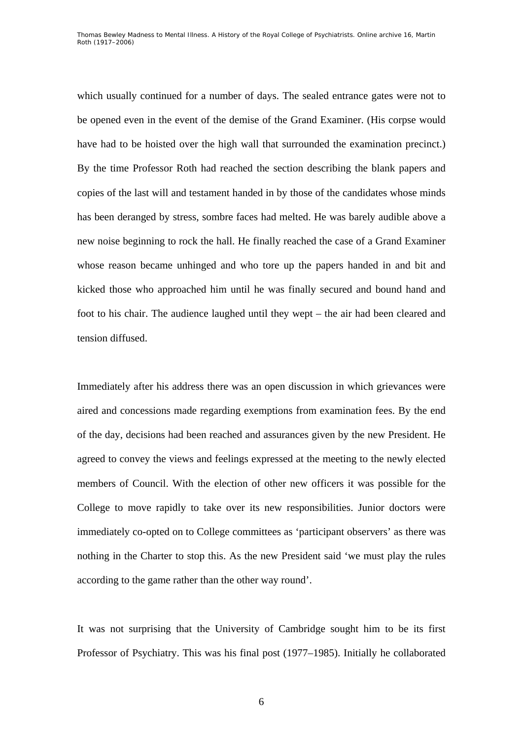which usually continued for a number of days. The sealed entrance gates were not to be opened even in the event of the demise of the Grand Examiner. (His corpse would have had to be hoisted over the high wall that surrounded the examination precinct.) By the time Professor Roth had reached the section describing the blank papers and copies of the last will and testament handed in by those of the candidates whose minds has been deranged by stress, sombre faces had melted. He was barely audible above a new noise beginning to rock the hall. He finally reached the case of a Grand Examiner whose reason became unhinged and who tore up the papers handed in and bit and kicked those who approached him until he was finally secured and bound hand and foot to his chair. The audience laughed until they wept – the air had been cleared and tension diffused.

Immediately after his address there was an open discussion in which grievances were aired and concessions made regarding exemptions from examination fees. By the end of the day, decisions had been reached and assurances given by the new President. He agreed to convey the views and feelings expressed at the meeting to the newly elected members of Council. With the election of other new officers it was possible for the College to move rapidly to take over its new responsibilities. Junior doctors were immediately co-opted on to College committees as 'participant observers' as there was nothing in the Charter to stop this. As the new President said 'we must play the rules according to the game rather than the other way round'.

It was not surprising that the University of Cambridge sought him to be its first Professor of Psychiatry. This was his final post (1977–1985). Initially he collaborated